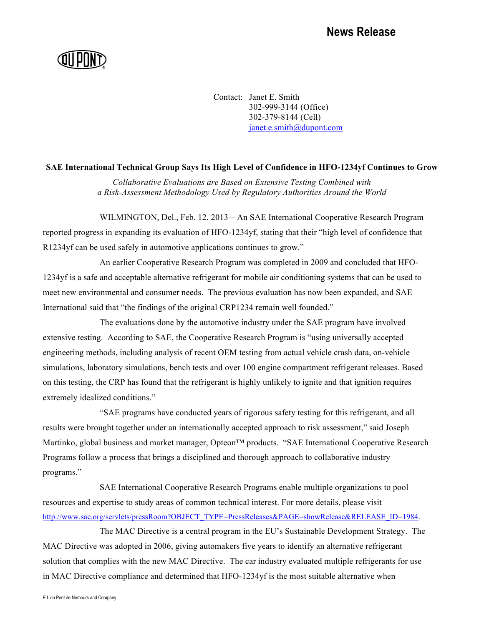Contact: Janet E. Smith 302-999-3144 (Office) 302-379-8144 (Cell) janet.e.smith@dupont.com

## **SAE International Technical Group Says Its High Level of Confidence in HFO-1234yf Continues to Grow**

*Collaborative Evaluations are Based on Extensive Testing Combined with a Risk-Assessment Methodology Used by Regulatory Authorities Around the World*

WILMINGTON, Del., Feb. 12, 2013 – An SAE International Cooperative Research Program reported progress in expanding its evaluation of HFO-1234yf, stating that their "high level of confidence that R1234yf can be used safely in automotive applications continues to grow."

An earlier Cooperative Research Program was completed in 2009 and concluded that HFO-1234yf is a safe and acceptable alternative refrigerant for mobile air conditioning systems that can be used to meet new environmental and consumer needs. The previous evaluation has now been expanded, and SAE International said that "the findings of the original CRP1234 remain well founded."

The evaluations done by the automotive industry under the SAE program have involved extensive testing. According to SAE, the Cooperative Research Program is "using universally accepted engineering methods, including analysis of recent OEM testing from actual vehicle crash data, on-vehicle simulations, laboratory simulations, bench tests and over 100 engine compartment refrigerant releases. Based on this testing, the CRP has found that the refrigerant is highly unlikely to ignite and that ignition requires extremely idealized conditions."

"SAE programs have conducted years of rigorous safety testing for this refrigerant, and all results were brought together under an internationally accepted approach to risk assessment," said Joseph Martinko, global business and market manager, Opteon™ products. "SAE International Cooperative Research Programs follow a process that brings a disciplined and thorough approach to collaborative industry programs."

SAE International Cooperative Research Programs enable multiple organizations to pool resources and expertise to study areas of common technical interest. For more details, please visit http://www.sae.org/servlets/pressRoom?OBJECT\_TYPE=PressReleases&PAGE=showRelease&RELEASE\_ID=1984.

The MAC Directive is a central program in the EU's Sustainable Development Strategy. The MAC Directive was adopted in 2006, giving automakers five years to identify an alternative refrigerant solution that complies with the new MAC Directive. The car industry evaluated multiple refrigerants for use in MAC Directive compliance and determined that HFO-1234yf is the most suitable alternative when